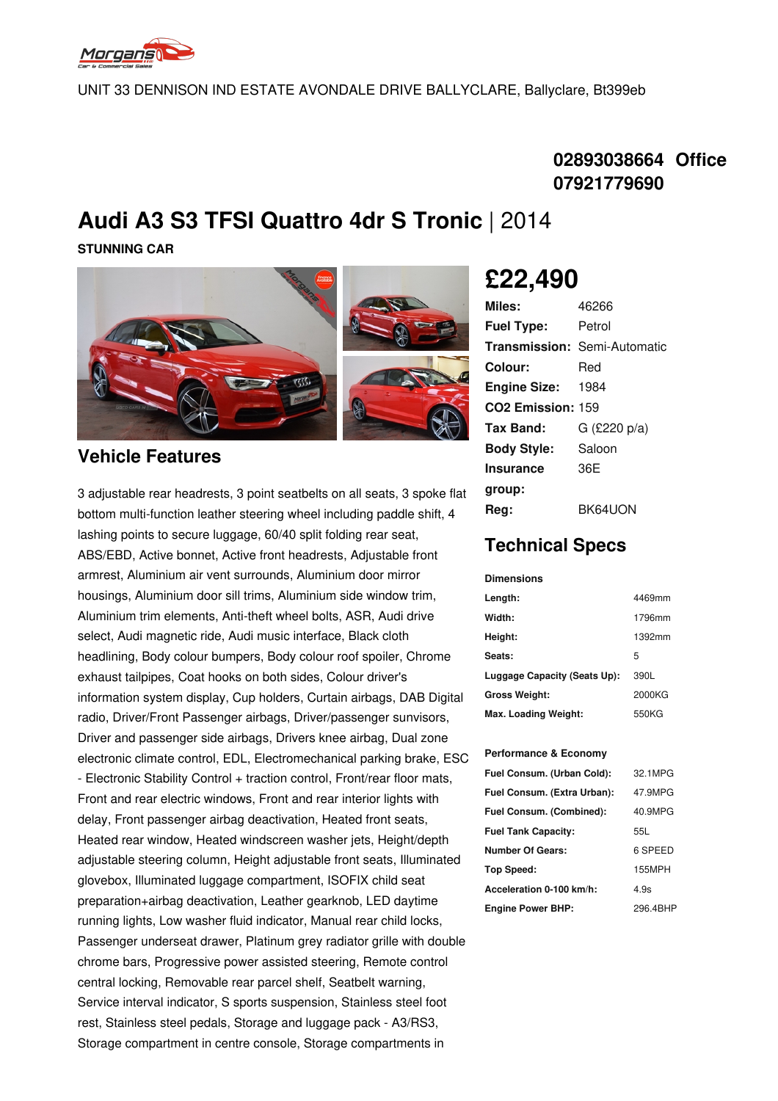

UNIT 33 DENNISON IND ESTATE AVONDALE DRIVE BALLYCLARE, Ballyclare, Bt399eb

### **02893038664 Office 07921779690**

## **Audi A3 S3 TFSI Quattro 4dr S Tronic** | 2014

**STUNNING CAR**



**Vehicle Features**

3 adjustable rear headrests, 3 point seatbelts on all seats, 3 spoke flat bottom multi-function leather steering wheel including paddle shift, 4 lashing points to secure luggage, 60/40 split folding rear seat, ABS/EBD, Active bonnet, Active front headrests, Adjustable front armrest, Aluminium air vent surrounds, Aluminium door mirror housings, Aluminium door sill trims, Aluminium side window trim, Aluminium trim elements, Anti-theft wheel bolts, ASR, Audi drive select, Audi magnetic ride, Audi music interface, Black cloth headlining, Body colour bumpers, Body colour roof spoiler, Chrome exhaust tailpipes, Coat hooks on both sides, Colour driver's information system display, Cup holders, Curtain airbags, DAB Digital radio, Driver/Front Passenger airbags, Driver/passenger sunvisors, Driver and passenger side airbags, Drivers knee airbag, Dual zone electronic climate control, EDL, Electromechanical parking brake, ESC - Electronic Stability Control + traction control, Front/rear floor mats, Front and rear electric windows, Front and rear interior lights with delay, Front passenger airbag deactivation, Heated front seats, Heated rear window, Heated windscreen washer jets, Height/depth adjustable steering column, Height adjustable front seats, Illuminated glovebox, Illuminated luggage compartment, ISOFIX child seat preparation+airbag deactivation, Leather gearknob, LED daytime running lights, Low washer fluid indicator, Manual rear child locks, Passenger underseat drawer, Platinum grey radiator grille with double chrome bars, Progressive power assisted steering, Remote control central locking, Removable rear parcel shelf, Seatbelt warning, Service interval indicator, S sports suspension, Stainless steel foot rest, Stainless steel pedals, Storage and luggage pack - A3/RS3, Storage compartment in centre console, Storage compartments in

# **£22,490**

| Miles:                        | 46266                               |
|-------------------------------|-------------------------------------|
| <b>Fuel Type:</b>             | Petrol                              |
|                               | <b>Transmission: Semi-Automatic</b> |
| Colour:                       | Red                                 |
| <b>Engine Size:</b>           | 1984                                |
| CO <sub>2</sub> Emission: 159 |                                     |
| Tax Band:                     | G (£220 p/a)                        |
| <b>Body Style:</b>            | Saloon                              |
| Insurance                     | 36F                                 |
| group:                        |                                     |
| Rea:                          | BK64UON                             |

### **Technical Specs**

#### **Dimensions**

| Length:                      | 4469mm |
|------------------------------|--------|
| Width:                       | 1796mm |
| Height:                      | 1392mm |
| Seats:                       | 5      |
| Luggage Capacity (Seats Up): | 390L   |
| <b>Gross Weight:</b>         | 2000KG |
| Max. Loading Weight:         | 550KG  |

#### **Performance & Economy**

| Fuel Consum. (Urban Cold):  | 32.1MPG  |
|-----------------------------|----------|
| Fuel Consum. (Extra Urban): | 47.9MPG  |
| Fuel Consum. (Combined):    | 40.9MPG  |
| <b>Fuel Tank Capacity:</b>  | 55L      |
| <b>Number Of Gears:</b>     | 6 SPEED  |
| <b>Top Speed:</b>           | 155MPH   |
| Acceleration 0-100 km/h:    | 4.9s     |
| <b>Engine Power BHP:</b>    | 296.4BHP |